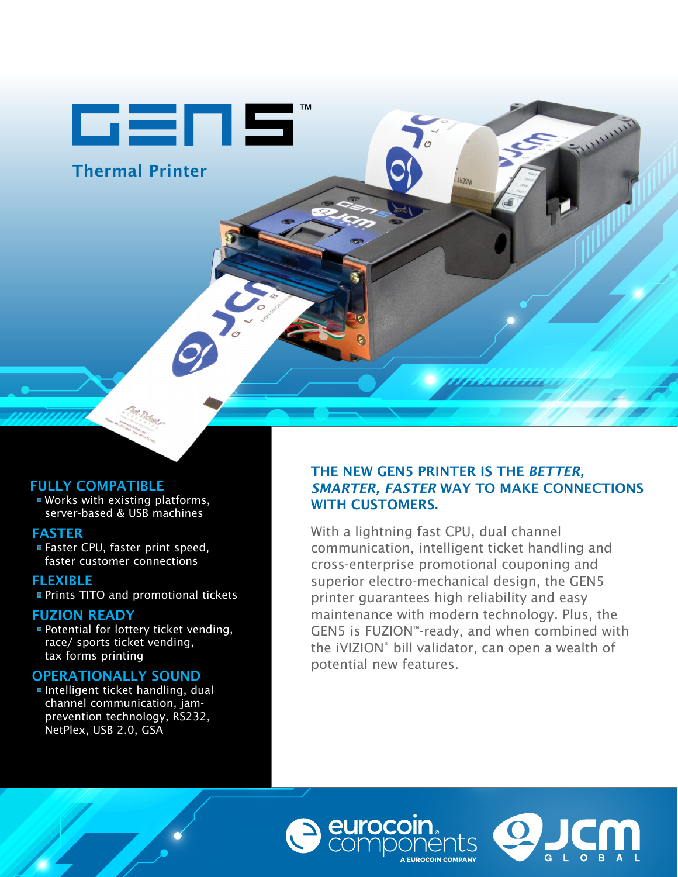cens

Thermal Printer

# FULLY COMPATIBLE

■ Works with existing platforms, server-based & USB machines

# FASTER

Faster CPU, faster print speed, faster customer connections

**FLEXIBLE** ■ Prints TITO and promotional tickets

# FUZION READY

**Potential for lottery ticket vending,** race/ sports ticket vending, tax forms printing

# OPERATIONALLY SOUND

Intelligent ticket handling, dual channel communication, jamprevention technology, RS232, NetPlex, USB 2.0, GSA

# THE NEW GEN5 PRINTER IS THE *BETTER, SMARTER, FASTER* WAY TO MAKE CONNECTIONS WITH CUSTOMERS.

**LHACM** 

With a lightning fast CPU, dual channel communication, intelligent ticket handling and cross-enterprise promotional couponing and superior electro-mechanical design, the GEN5 printer guarantees high reliability and easy maintenance with modern technology. Plus, the GEN5 is FUZION™-ready, and when combined with the iVIZION<sup>®</sup> bill validator, can open a wealth of potential new features.